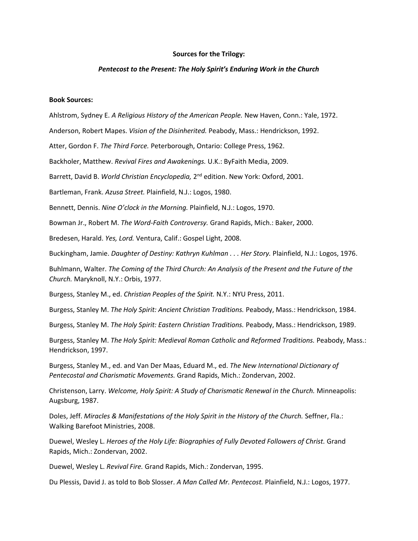## **Sources for the Trilogy:**

## *Pentecost to the Present: The Holy Spirit's Enduring Work in the Church*

## **Book Sources:**

Ahlstrom, Sydney E. *A Religious History of the American People.* New Haven, Conn.: Yale, 1972.

Anderson, Robert Mapes. *Vision of the Disinherited.* Peabody, Mass.: Hendrickson, 1992.

Atter, Gordon F. *The Third Force.* Peterborough, Ontario: College Press, 1962.

Backholer, Matthew. *Revival Fires and Awakenings.* U.K.: ByFaith Media, 2009.

Barrett, David B. World Christian Encyclopedia, 2<sup>nd</sup> edition. New York: Oxford, 2001.

Bartleman, Frank. *Azusa Street.* Plainfield, N.J.: Logos, 1980.

Bennett, Dennis. *Nine O'clock in the Morning.* Plainfield, N.J.: Logos, 1970.

Bowman Jr., Robert M. *The Word-Faith Controversy.* Grand Rapids, Mich.: Baker, 2000.

Bredesen, Harald. *Yes, Lord.* Ventura, Calif.: Gospel Light, 2008.

Buckingham, Jamie. *Daughter of Destiny: Kathryn Kuhlman . . . Her Story.* Plainfield, N.J.: Logos, 1976.

Buhlmann, Walter. *The Coming of the Third Church: An Analysis of the Present and the Future of the Church.* Maryknoll, N.Y.: Orbis, 1977.

Burgess, Stanley M., ed. *Christian Peoples of the Spirit.* N.Y.: NYU Press, 2011.

Burgess, Stanley M. *The Holy Spirit: Ancient Christian Traditions.* Peabody, Mass.: Hendrickson, 1984.

Burgess, Stanley M. *The Holy Spirit: Eastern Christian Traditions.* Peabody, Mass.: Hendrickson, 1989.

Burgess, Stanley M. *The Holy Spirit: Medieval Roman Catholic and Reformed Traditions.* Peabody, Mass.: Hendrickson, 1997.

Burgess, Stanley M., ed. and Van Der Maas, Eduard M., ed. *The New International Dictionary of Pentecostal and Charismatic Movements.* Grand Rapids, Mich.: Zondervan, 2002.

Christenson, Larry. *Welcome, Holy Spirit: A Study of Charismatic Renewal in the Church.* Minneapolis: Augsburg, 1987.

Doles, Jeff. *Miracles & Manifestations of the Holy Spirit in the History of the Church.* Seffner, Fla.: Walking Barefoot Ministries, 2008.

Duewel, Wesley L. *Heroes of the Holy Life: Biographies of Fully Devoted Followers of Christ.* Grand Rapids, Mich.: Zondervan, 2002.

Duewel, Wesley L. *Revival Fire.* Grand Rapids, Mich.: Zondervan, 1995.

Du Plessis, David J. as told to Bob Slosser. *A Man Called Mr. Pentecost.* Plainfield, N.J.: Logos, 1977.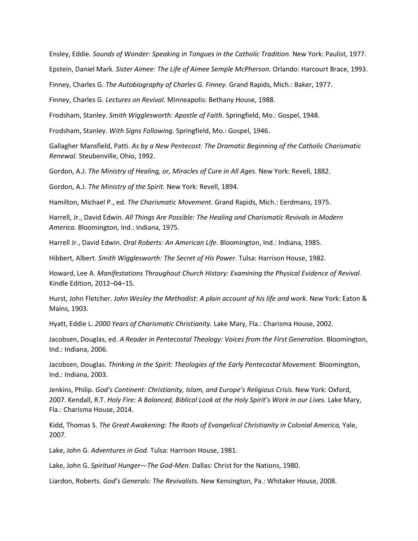Ensley, Eddie. *Sounds of Wonder: Speaking in Tongues in the Catholic Tradition.* New York: Paulist, 1977.

Epstein, Daniel Mark. *Sister Aimee: The Life of Aimee Semple McPherson.* Orlando: Harcourt Brace, 1993.

Finney, Charles G. *The Autobiography of Charles G. Finney.* Grand Rapids, Mich.: Baker, 1977.

Finney, Charles G. *Lectures on Revival.* Minneapolis: Bethany House, 1988.

Frodsham, Stanley. *Smith Wigglesworth: Apostle of Faith.* Springfield, Mo.: Gospel, 1948.

Frodsham, Stanley. *With Signs Following.* Springfield, Mo.: Gospel, 1946.

Gallagher Mansfield, Patti. *As by a New Pentecost: The Dramatic Beginning of the Catholic Charismatic Renewal.* Steubenville, Ohio, 1992.

Gordon, A.J. *The Ministry of Healing, or, Miracles of Cure in All Ages.* New York: Revell, 1882.

Gordon, A.J. *The Ministry of the Spirit.* New York: Revell, 1894.

Hamilton, Michael P., ed. *The Charismatic Movement.* Grand Rapids, Mich.: Eerdmans, 1975.

Harrell, Jr., David Edwin. *All Things Are Possible: The Healing and Charismatic Revivals in Modern America.* Bloomington, Ind.: Indiana, 1975.

Harrell Jr., David Edwin. *Oral Roberts: An American Life.* Bloomington, Ind.: Indiana, 1985.

Hibbert, Albert. *Smith Wigglesworth: The Secret of His Power.* Tulsa: Harrison House, 1982.

Howard, Lee A. *Manifestations Throughout Church History: Examining the Physical Evidence of Revival.* Kindle Edition, 2012–04–15.

Hurst, John Fletcher. *John Wesley the Methodist: A plain account of his life and work.* New York: Eaton & Mains, 1903.

Hyatt, Eddie L. *2000 Years of Charismatic Christianity.* Lake Mary, Fla.: Charisma House, 2002.

Jacobsen, Douglas, ed. *A Reader in Pentecostal Theology: Voices from the First Generation.* Bloomington, Ind.: Indiana, 2006.

Jacobsen, Douglas. *Thinking in the Spirit: Theologies of the Early Pentecostal Movement.* Bloomington, Ind.: Indiana, 2003.

Jenkins, Philip. *God's Continent: Christianity, Islam, and Europe's Religious Crisis.* New York: Oxford, 2007. Kendall, R.T. *Holy Fire: A Balanced, Biblical Look at the Holy Spirit's Work in our Lives.* Lake Mary, Fla.: Charisma House, 2014.

Kidd, Thomas S. *The Great Awakening: The Roots of Evangelical Christianity in Colonial America,* Yale, 2007.

Lake, John G. *Adventures in God.* Tulsa: Harrison House, 1981.

Lake, John G. *Spiritual Hunger—The God-Men.* Dallas: Christ for the Nations, 1980.

Liardon, Roberts. *God's Generals: The Revivalists.* New Kensington, Pa.: Whitaker House, 2008.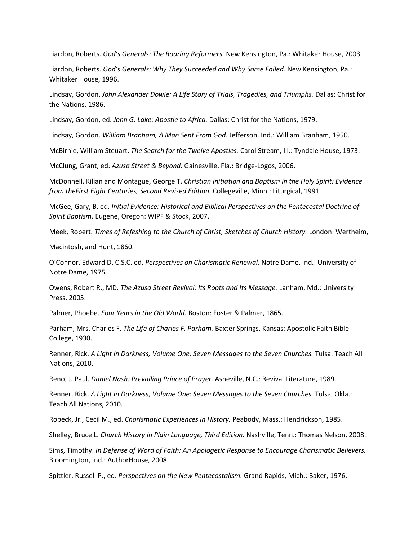Liardon, Roberts. *God's Generals: The Roaring Reformers.* New Kensington, Pa.: Whitaker House, 2003.

Liardon, Roberts. *God's Generals: Why They Succeeded and Why Some Failed.* New Kensington, Pa.: Whitaker House, 1996.

Lindsay, Gordon. *John Alexander Dowie: A Life Story of Trials, Tragedies, and Triumphs.* Dallas: Christ for the Nations, 1986.

Lindsay, Gordon, ed. *John G. Lake: Apostle to Africa.* Dallas: Christ for the Nations, 1979.

Lindsay, Gordon. *William Branham, A Man Sent From God.* Jefferson, Ind.: William Branham, 1950.

McBirnie, William Steuart. *The Search for the Twelve Apostles.* Carol Stream, Ill.: Tyndale House, 1973.

McClung, Grant, ed. *Azusa Street & Beyond.* Gainesville, Fla.: Bridge-Logos, 2006.

McDonnell, Kilian and Montague, George T. *Christian Initiation and Baptism in the Holy Spirit: Evidence from theFirst Eight Centuries, Second Revised Edition.* Collegeville, Minn.: Liturgical, 1991.

McGee, Gary, B. ed. *Initial Evidence: Historical and Biblical Perspectives on the Pentecostal Doctrine of Spirit Baptism.* Eugene, Oregon: WIPF & Stock, 2007.

Meek, Robert. *Times of Refeshing to the Church of Christ, Sketches of Church History.* London: Wertheim,

Macintosh, and Hunt, 1860.

O'Connor, Edward D. C.S.C. ed. *Perspectives on Charismatic Renewal.* Notre Dame, Ind.: University of Notre Dame, 1975.

Owens, Robert R., MD. *The Azusa Street Revival: Its Roots and Its Message.* Lanham, Md.: University Press, 2005.

Palmer, Phoebe. *Four Years in the Old World.* Boston: Foster & Palmer, 1865.

Parham, Mrs. Charles F. *The Life of Charles F. Parham.* Baxter Springs, Kansas: Apostolic Faith Bible College, 1930.

Renner, Rick. *A Light in Darkness, Volume One: Seven Messages to the Seven Churches.* Tulsa: Teach All Nations, 2010.

Reno, J. Paul. *Daniel Nash: Prevailing Prince of Prayer.* Asheville, N.C.: Revival Literature, 1989.

Renner, Rick. *A Light in Darkness, Volume One: Seven Messages to the Seven Churches.* Tulsa, Okla.: Teach All Nations, 2010.

Robeck, Jr., Cecil M., ed. *Charismatic Experiences in History.* Peabody, Mass.: Hendrickson, 1985.

Shelley, Bruce L. *Church History in Plain Language, Third Edition.* Nashville, Tenn.: Thomas Nelson, 2008.

Sims, Timothy. *In Defense of Word of Faith: An Apologetic Response to Encourage Charismatic Believers.* Bloomington, Ind.: AuthorHouse, 2008.

Spittler, Russell P., ed. *Perspectives on the New Pentecostalism.* Grand Rapids, Mich.: Baker, 1976.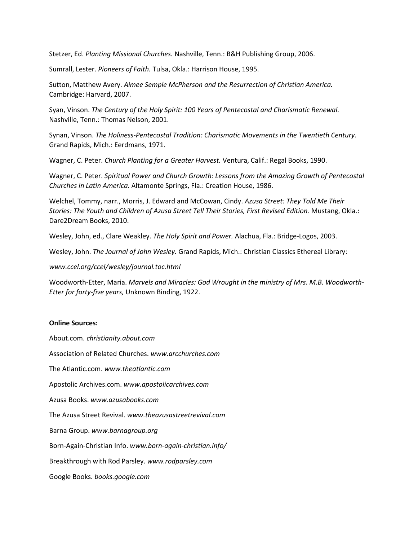Stetzer, Ed. *Planting Missional Churches.* Nashville, Tenn.: B&H Publishing Group, 2006.

Sumrall, Lester. *Pioneers of Faith.* Tulsa, Okla.: Harrison House, 1995.

Sutton, Matthew Avery. *Aimee Semple McPherson and the Resurrection of Christian America.* Cambridge: Harvard, 2007.

Syan, Vinson. *The Century of the Holy Spirit: 100 Years of Pentecostal and Charismatic Renewal.* Nashville, Tenn.: Thomas Nelson, 2001.

Synan, Vinson. *The Holiness-Pentecostal Tradition: Charismatic Movements in the Twentieth Century.* Grand Rapids, Mich.: Eerdmans, 1971.

Wagner, C. Peter. *Church Planting for a Greater Harvest.* Ventura, Calif.: Regal Books, 1990.

Wagner, C. Peter. *Spiritual Power and Church Growth: Lessons from the Amazing Growth of Pentecostal Churches in Latin America.* Altamonte Springs, Fla.: Creation House, 1986.

Welchel, Tommy, narr., Morris, J. Edward and McCowan, Cindy. *Azusa Street: They Told Me Their Stories: The Youth and Children of Azusa Street Tell Their Stories, First Revised Edition.* Mustang, Okla.: Dare2Dream Books, 2010.

Wesley, John, ed., Clare Weakley. *The Holy Spirit and Power.* Alachua, Fla.: Bridge-Logos, 2003.

Wesley, John. *The Journal of John Wesley.* Grand Rapids, Mich.: Christian Classics Ethereal Library:

*www.ccel.org/ccel/wesley/journal.toc.html*

Woodworth-Etter, Maria. *Marvels and Miracles: God Wrought in the ministry of Mrs. M.B. Woodworth-Etter for forty-five years,* Unknown Binding, 1922.

## **Online Sources:**

About.com. *christianity.about.com* Association of Related Churches. *www.arcchurches.com* The Atlantic.com. *www.theatlantic.com* Apostolic Archives.com. *www.apostolicarchives.com* Azusa Books. *www.azusabooks.com* The Azusa Street Revival. *www.theazusastreetrevival.com* Barna Group. *www.barnagroup.org* Born-Again-Christian Info. *www.born-again-christian.info/* Breakthrough with Rod Parsley. *www.rodparsley.com* Google Books. *books.google.com*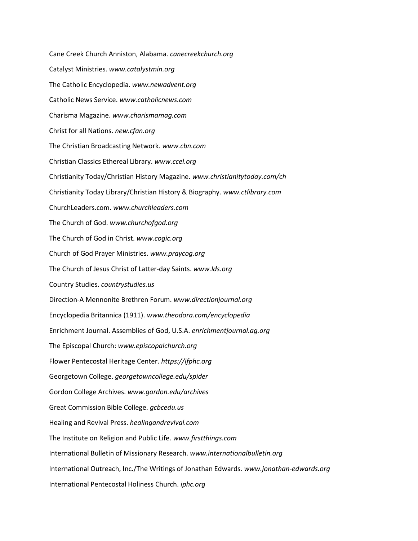Cane Creek Church Anniston, Alabama. *canecreekchurch.org* Catalyst Ministries. *www.catalystmin.org* The Catholic Encyclopedia. *www.newadvent.org* Catholic News Service. *www.catholicnews.com* Charisma Magazine. *www.charismamag.com* Christ for all Nations. *new.cfan.org* The Christian Broadcasting Network*. www.cbn.com* Christian Classics Ethereal Library. *www.ccel.org* Christianity Today/Christian History Magazine. *www.christianitytoday.com/ch* Christianity Today Library/Christian History & Biography. *www.ctlibrary.com* ChurchLeaders.com. *www.churchleaders.com* The Church of God. *www.churchofgod.org* The Church of God in Christ. *www.cogic.org* Church of God Prayer Ministries. *www.praycog.org* The Church of Jesus Christ of Latter-day Saints. *www.lds.org* Country Studies. *countrystudies.us* Direction-A Mennonite Brethren Forum. *www.directionjournal.org* Encyclopedia Britannica (1911). *www.theodora.com/encyclopedia* Enrichment Journal. Assemblies of God, U.S.A. *enrichmentjournal.ag.org* The Episcopal Church: *www.episcopalchurch.org* Flower Pentecostal Heritage Center. *https://ifphc.org* Georgetown College. *georgetowncollege.edu/spider* Gordon College Archives. *www.gordon.edu/archives* Great Commission Bible College. *gcbcedu.us* Healing and Revival Press. *healingandrevival.com* The Institute on Religion and Public Life. *www.firstthings.com* International Bulletin of Missionary Research. *www.internationalbulletin.org* International Outreach, Inc./The Writings of Jonathan Edwards. *www.jonathan-edwards.org* International Pentecostal Holiness Church. *iphc.org*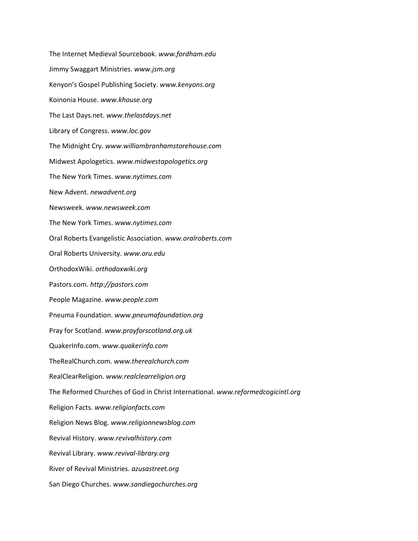The Internet Medieval Sourcebook. *www.fordham.edu* Jimmy Swaggart Ministries. *www.jsm.org* Kenyon's Gospel Publishing Society. *www.kenyons.org* Koinonia House. *www.khouse.org* The Last Days.net. *www.thelastdays.net* Library of Congress. *www.loc.gov* The Midnight Cry. *www.williambranhamstorehouse.com* Midwest Apologetics. *www.midwestapologetics.org* The New York Times. *www.nytimes.com* New Advent. *newadvent.org* Newsweek. *www.newsweek.com* The New York Times. *www.nytimes.com* Oral Roberts Evangelistic Association. *www.oralroberts.com* Oral Roberts University. *www.oru.edu* OrthodoxWiki. *orthodoxwiki.org* Pastors.com. *http://pastors.com* People Magazine*. www.people.com* Pneuma Foundation. *www.pneumafoundation.org* Pray for Scotland. *www.prayforscotland.org.uk* QuakerInfo.com. *www.quakerinfo.com* TheRealChurch.com. *www.therealchurch.com* RealClearReligion. *www.realclearreligion.org* The Reformed Churches of God in Christ International. *www.reformedcogicintl.org* Religion Facts. *www.religionfacts.com* Religion News Blog. *www.religionnewsblog.com* Revival History. *www.revivalhistory.com* Revival Library. *www.revival-library.org* River of Revival Ministries. *azusastreet.org* San Diego Churches. *www.sandiegochurches.org*